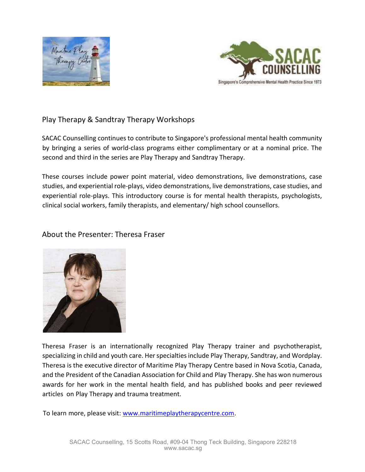



# Play Therapy & Sandtray Therapy Workshops

SACAC Counselling continues to contribute to Singapore's professional mental health community by bringing a series of world-class programs either complimentary or at a nominal price. The second and third in the series are Play Therapy and Sandtray Therapy.

These courses include power point material, video demonstrations, live demonstrations, case studies, and experiential role-plays, video demonstrations, live demonstrations, case studies, and experiential role-plays. This introductory course is for mental health therapists, psychologists, clinical social workers, family therapists, and elementary/ high school counsellors.

### About the Presenter: Theresa Fraser



Theresa Fraser is an internationally recognized Play Therapy trainer and psychotherapist, specializing in child and youth care. Her specialties include Play Therapy, Sandtray, and Wordplay. Theresa is the executive director of Maritime Play Therapy Centre based in Nova Scotia, Canada, and the President of the Canadian Association for Child and Play Therapy. She has won numerous awards for her work in the mental health field, and has published books and peer reviewed articles on Play Therapy and trauma treatment.

To learn more, please visit: www.maritimeplaytherapycentre.com.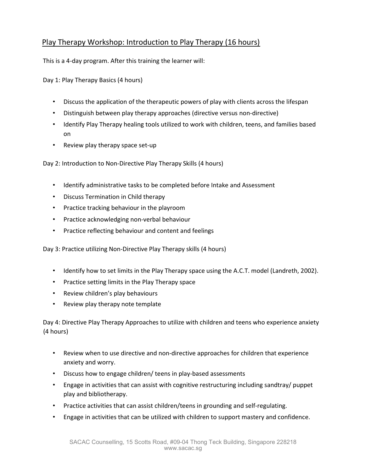## Play Therapy Workshop: Introduction to Play Therapy (16 hours)

This is a 4-day program. After this training the learner will:

Day 1: Play Therapy Basics (4 hours)

- Discuss the application of the therapeutic powers of play with clients across the lifespan
- Distinguish between play therapy approaches (directive versus non-directive)
- Identify Play Therapy healing tools utilized to work with children, teens, and families based on
- Review play therapy space set-up

Day 2: Introduction to Non-Directive Play Therapy Skills (4 hours)

- Identify administrative tasks to be completed before Intake and Assessment
- Discuss Termination in Child therapy
- Practice tracking behaviour in the playroom
- Practice acknowledging non-verbal behaviour
- Practice reflecting behaviour and content and feelings

Day 3: Practice utilizing Non-Directive Play Therapy skills (4 hours)

- Identify how to set limits in the Play Therapy space using the A.C.T. model (Landreth, 2002).
- Practice setting limits in the Play Therapy space
- Review children's play behaviours
- Review play therapy note template

Day 4: Directive Play Therapy Approaches to utilize with children and teens who experience anxiety (4 hours)

- Review when to use directive and non-directive approaches for children that experience anxiety and worry.
- Discuss how to engage children/ teens in play-based assessments
- Engage in activities that can assist with cognitive restructuring including sandtray/ puppet play and bibliotherapy.
- Practice activities that can assist children/teens in grounding and self-regulating.
- Engage in activities that can be utilized with children to support mastery and confidence.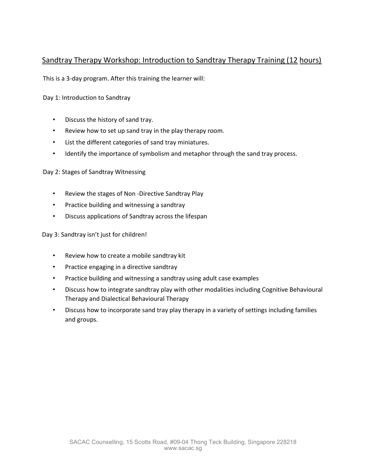## Sandtray Therapy Workshop: Introduction to Sandtray Therapy Training (12 hours)

This is a 3-day program. After this training the learner will:

Day 1: Introduction to Sandtray

- Discuss the history of sand tray.
- Review how to set up sand tray in the play therapy room.
- List the different categories of sand tray miniatures.
- Identify the importance of symbolism and metaphor through the sand tray process.

#### Day 2: Stages of Sandtray Witnessing

- Review the stages of Non -Directive Sandtray Play
- Practice building and witnessing a sandtray
- Discuss applications of Sandtray across the lifespan

Day 3: Sandtray isn't just for children!

- Review how to create a mobile sandtray kit
- Practice engaging in a directive sandtray
- Practice building and witnessing a sandtray using adult case examples
- Discuss how to integrate sandtray play with other modalities including Cognitive Behavioural Therapy and Dialectical Behavioural Therapy
- Discuss how to incorporate sand tray play therapy in a variety of settings including families and groups.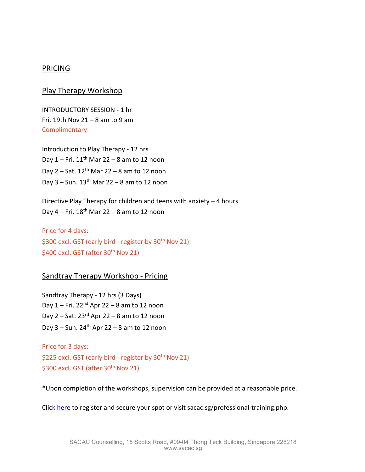#### **PRICING**

#### Play Therapy Workshop

INTRODUCTORY SESSION - 1 hr Fri. 19th Nov  $21 - 8$  am to 9 am Complimentary

Introduction to Play Therapy - 12 hrs Day  $1 -$  Fri.  $11<sup>th</sup>$  Mar 22 – 8 am to 12 noon Day  $2 -$  Sat.  $12<sup>th</sup>$  Mar 22 – 8 am to 12 noon Day  $3 -$  Sun.  $13<sup>th</sup>$  Mar 22 – 8 am to 12 noon

Directive Play Therapy for children and teens with anxiety – 4 hours Day  $4$  – Fri.  $18<sup>th</sup>$  Mar 22 – 8 am to 12 noon

Price for 4 days: \$300 excl. GST (early bird - register by  $30<sup>th</sup>$  Nov 21) \$400 excl. GST (after  $30<sup>th</sup>$  Nov 21)

### Sandtray Therapy Workshop - Pricing

Sandtray Therapy - 12 hrs (3 Days) Day  $1 -$  Fri. 22<sup>nd</sup> Apr 22 – 8 am to 12 noon Day  $2 -$  Sat. 23<sup>rd</sup> Apr 22 – 8 am to 12 noon Day  $3 -$  Sun. 24<sup>th</sup> Apr 22  $-$  8 am to 12 noon

Price for 3 days: \$225 excl. GST (early bird - register by  $30<sup>th</sup>$  Nov 21) \$300 excl. GST (after 30<sup>th</sup> Nov 21)

\*Upon completion of the workshops, supervision can be provided at a reasonable price.

Click here to register and secure your spot or visit sacac.sg/professional-training.php.